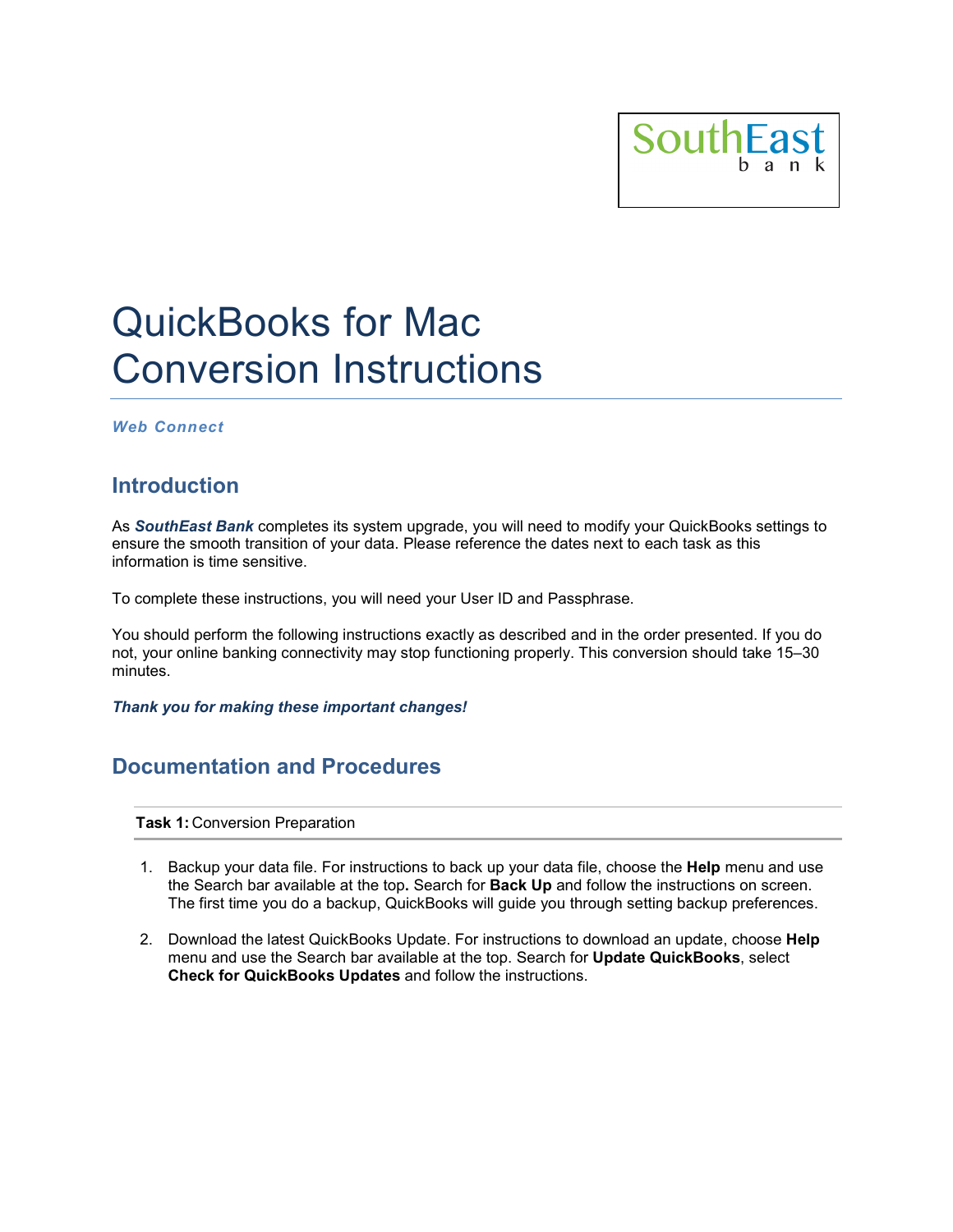

# QuickBooks for Mac Conversion Instructions

*Web Connect*

## **Introduction**

As *SouthEast Bank* completes its system upgrade, you will need to modify your QuickBooks settings to ensure the smooth transition of your data. Please reference the dates next to each task as this information is time sensitive.

To complete these instructions, you will need your User ID and Passphrase.

You should perform the following instructions exactly as described and in the order presented. If you do not, your online banking connectivity may stop functioning properly. This conversion should take 15–30 minutes.

*Thank you for making these important changes!*

## **Documentation and Procedures**

**Task 1:** Conversion Preparation

- 1. Backup your data file. For instructions to back up your data file, choose the **Help** menu and use the Search bar available at the top**.** Search for **Back Up** and follow the instructions on screen. The first time you do a backup, QuickBooks will guide you through setting backup preferences.
- 2. Download the latest QuickBooks Update. For instructions to download an update, choose **Help** menu and use the Search bar available at the top. Search for **Update QuickBooks**, select **Check for QuickBooks Updates** and follow the instructions.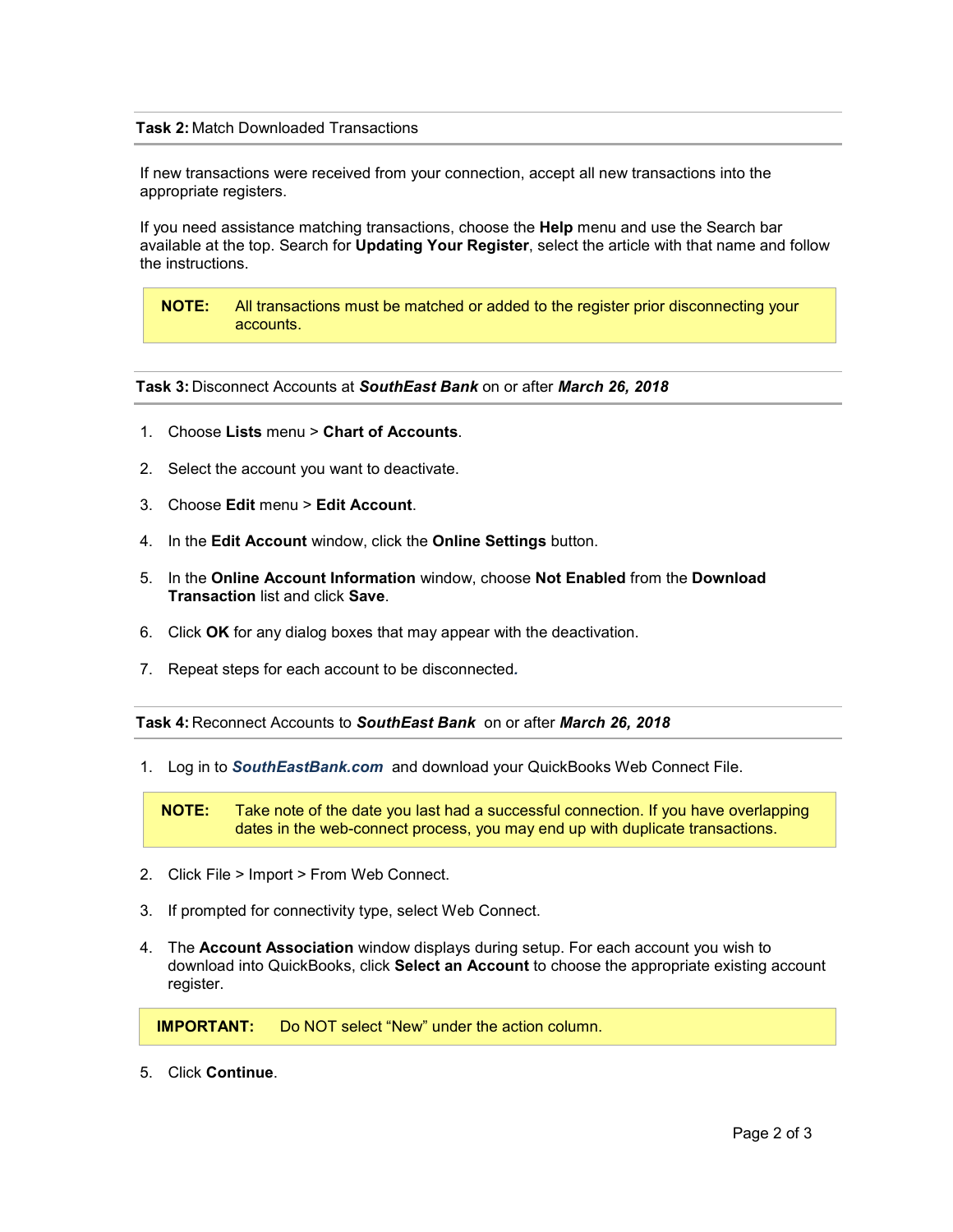### **Task 2:** Match Downloaded Transactions

If new transactions were received from your connection, accept all new transactions into the appropriate registers.

If you need assistance matching transactions, choose the **Help** menu and use the Search bar available at the top. Search for **Updating Your Register**, select the article with that name and follow the instructions.

**NOTE:** All transactions must be matched or added to the register prior disconnecting your accounts.

#### **Task 3:** Disconnect Accounts at *SouthEast Bank* on or after *March 26, 2018*

- 1. Choose **Lists** menu > **Chart of Accounts**.
- 2. Select the account you want to deactivate.
- 3. Choose **Edit** menu > **Edit Account**.
- 4. In the **Edit Account** window, click the **Online Settings** button.
- 5. In the **Online Account Information** window, choose **Not Enabled** from the **Download Transaction** list and click **Save**.
- 6. Click **OK** for any dialog boxes that may appear with the deactivation.
- 7. Repeat steps for each account to be disconnected*.*

**Task 4:** Reconnect Accounts to *SouthEast Bank* on or after *March 26, 2018*

1. Log in to *SouthEastBank.com* and download your QuickBooks Web Connect File.

**NOTE:** Take note of the date you last had a successful connection. If you have overlapping dates in the web-connect process, you may end up with duplicate transactions.

- 2. Click File > Import > From Web Connect.
- 3. If prompted for connectivity type, select Web Connect.
- 4. The **Account Association** window displays during setup. For each account you wish to download into QuickBooks, click **Select an Account** to choose the appropriate existing account register.

**IMPORTANT:** Do NOT select "New" under the action column.

5. Click **Continue**.